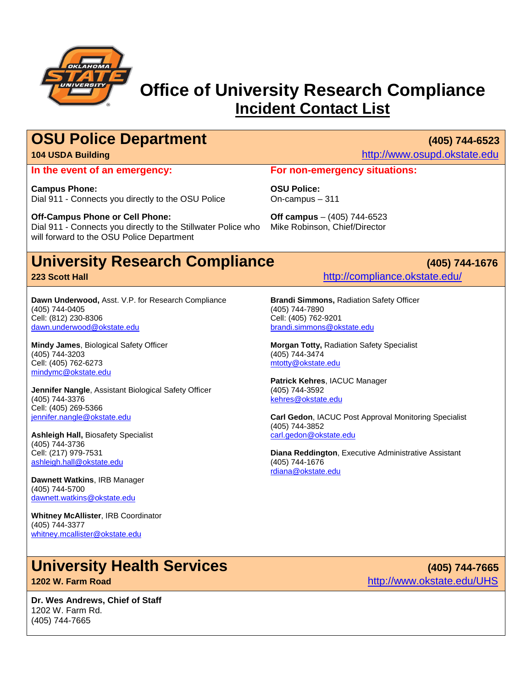

## **Office of University Research Compliance Incident Contact List**

## **OSU Police Department** (405) 744-6523

**In the event of an emergency:**

**Campus Phone:** Dial 911 - Connects you directly to the OSU Police

**Off-Campus Phone or Cell Phone:** Dial 911 - Connects you directly to the Stillwater Police who will forward to the OSU Police Department

## **University Research Compliance (405) 744-1676**

#### **223 Scott Hall** <http://compliance.okstate.edu/>

**Dawn Underwood,** Asst. V.P. for Research Compliance (405) 744-0405 Cell: (812) 230-8306 [dawn.underwood@okstate.edu](mailto:dawn.underwood@okstate.edu)

**Mindy James**, Biological Safety Officer (405) 744-3203 Cell: (405) 762-6273 [mindymc@okstate.edu](mailto:mindymc@okstate.edu)

**Jennifer Nangle**, Assistant Biological Safety Officer (405) 744-3376 Cell: (405) 269-5366 [jennifer.nangle@okstate.edu](mailto:jennifer.nangle@okstate.edu)

**Ashleigh Hall,** Biosafety Specialist (405) 744-3736 Cell: (217) 979-7531 [ashleigh.hall@okstate.edu](mailto:ashleigh.hall@okstate.edu)

**Dawnett Watkins**, IRB Manager (405) 744-5700 [dawnett.watkins@okstate.edu](mailto:dawnett.watkins@okstate.edu)

**Whitney McAllister**, IRB Coordinator (405) 744-3377 [whitney.mcallister@okstate.edu](mailto:whitney.mcallister@okstate.edu)

## **University Health Services (405) 744-7665 1202 W. Farm Road** <http://www.okstate.edu/UHS>

**Dr. Wes Andrews, Chief of Staff** 1202 W. Farm Rd. (405) 744-7665

**104 USDA Building** [http://www.osupd.okstate.edu](http://www.osupd.okstate.edu/)

#### **For non-emergency situations:**

**OSU Police:** On-campus – 311

**Off campus** – (405) 744-6523 Mike Robinson, Chief/Director

**Brandi Simmons,** Radiation Safety Officer (405) 744-7890 Cell: (405) 762-9201 [brandi.simmons@okstate.edu](mailto:brandi.simmons@okstate.edu)

**Morgan Totty,** Radiation Safety Specialist (405) 744-3474 mtotty@okstate.edu

**Patrick Kehres**, IACUC Manager (405) 744-3592 [kehres@okstate.edu](mailto:kehres@okstate.edu)

**Carl Gedon**, IACUC Post Approval Monitoring Specialist (405) 744-3852 carl.gedon@okstate.edu

**Diana Reddington**, Executive Administrative Assistant (405) 744-1676 [rdiana@okstate.edu](mailto:diana.jacobs@okstate.edu)